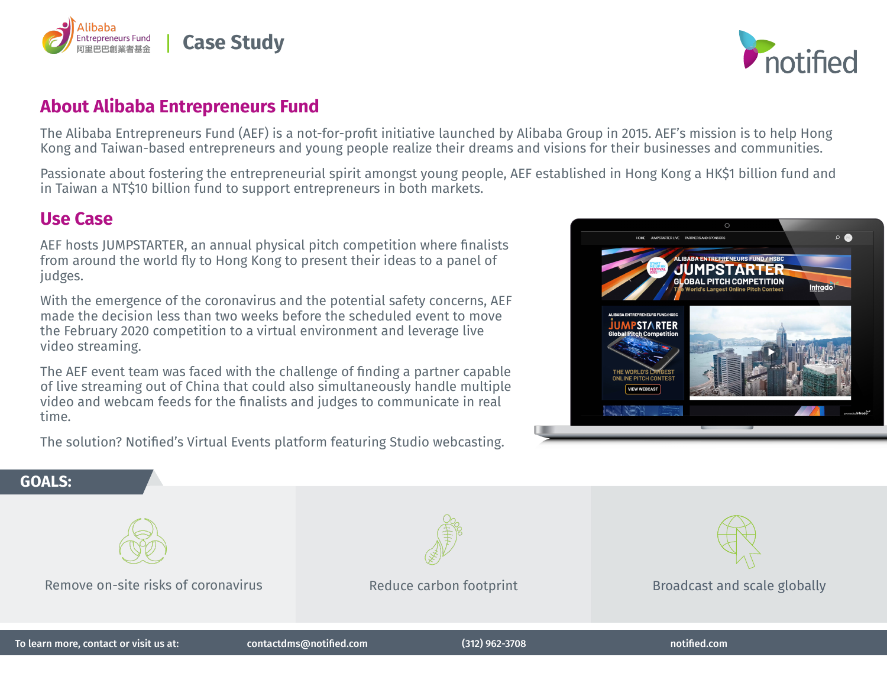



## **About Alibaba Entrepreneurs Fund**

The Alibaba Entrepreneurs Fund (AEF) is a not-for-profit initiative launched by Alibaba Group in 2015. AEF's mission is to help Hong Kong and Taiwan-based entrepreneurs and young people realize their dreams and visions for their businesses and communities.

Passionate about fostering the entrepreneurial spirit amongst young people, AEF established in Hong Kong a HK\$1 billion fund and in Taiwan a NT\$10 billion fund to support entrepreneurs in both markets.

## **Use Case**

AEF hosts JUMPSTARTER, an annual physical pitch competition where finalists from around the world fly to Hong Kong to present their ideas to a panel of judges.

With the emergence of the coronavirus and the potential safety concerns, AEF made the decision less than two weeks before the scheduled event to move the February 2020 competition to a virtual environment and leverage live video streaming.

The AEF event team was faced with the challenge of finding a partner capable of live streaming out of China that could also simultaneously handle multiple video and webcam feeds for the finalists and judges to communicate in real time.

The solution? Notified's Virtual Events platform featuring Studio webcasting.



## **GOALS:**



Remove on-site risks of coronavirus



Reduce carbon footprint



Broadcast and scale globally